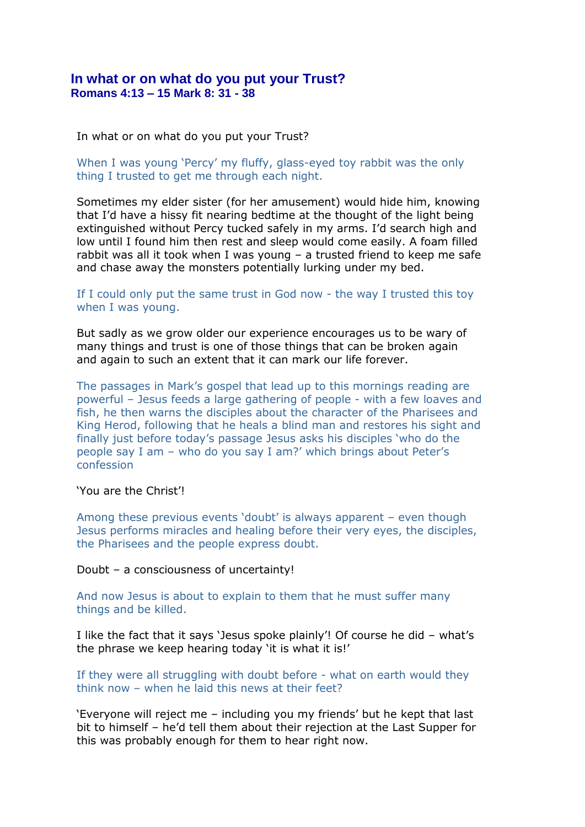## **In what or on what do you put your Trust? Romans 4:13 – 15 Mark 8: 31 - 38**

In what or on what do you put your Trust?

When I was young 'Percy' my fluffy, glass-eyed toy rabbit was the only thing I trusted to get me through each night.

Sometimes my elder sister (for her amusement) would hide him, knowing that I'd have a hissy fit nearing bedtime at the thought of the light being extinguished without Percy tucked safely in my arms. I'd search high and low until I found him then rest and sleep would come easily. A foam filled rabbit was all it took when I was young – a trusted friend to keep me safe and chase away the monsters potentially lurking under my bed.

## If I could only put the same trust in God now - the way I trusted this toy when I was young.

But sadly as we grow older our experience encourages us to be wary of many things and trust is one of those things that can be broken again and again to such an extent that it can mark our life forever.

The passages in Mark's gospel that lead up to this mornings reading are powerful – Jesus feeds a large gathering of people - with a few loaves and fish, he then warns the disciples about the character of the Pharisees and King Herod, following that he heals a blind man and restores his sight and finally just before today's passage Jesus asks his disciples 'who do the people say I am – who do you say I am?' which brings about Peter's confession

## 'You are the Christ'!

Among these previous events 'doubt' is always apparent – even though Jesus performs miracles and healing before their very eyes, the disciples, the Pharisees and the people express doubt.

Doubt – a consciousness of uncertainty!

And now Jesus is about to explain to them that he must suffer many things and be killed.

I like the fact that it says 'Jesus spoke plainly'! Of course he did – what's the phrase we keep hearing today 'it is what it is!'

If they were all struggling with doubt before - what on earth would they think now – when he laid this news at their feet?

'Everyone will reject me – including you my friends' but he kept that last bit to himself – he'd tell them about their rejection at the Last Supper for this was probably enough for them to hear right now.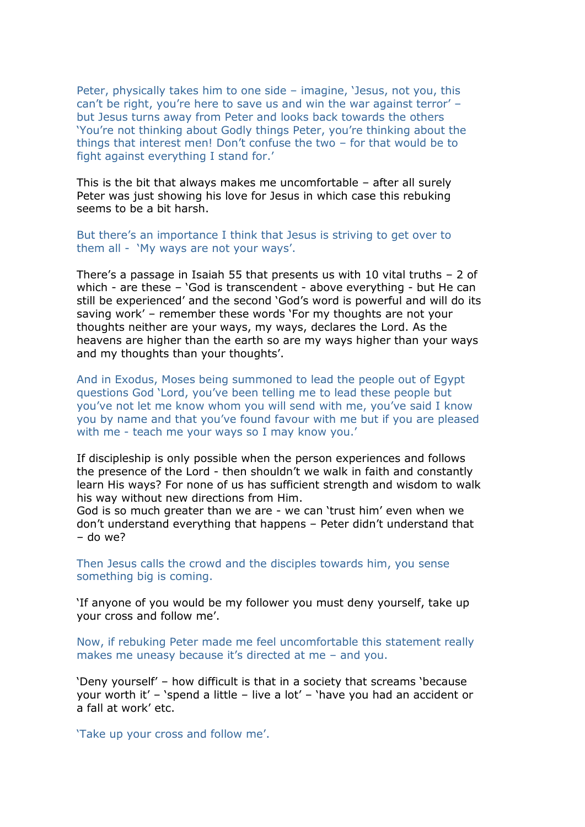Peter, physically takes him to one side – imagine, 'Jesus, not you, this can't be right, you're here to save us and win the war against terror' – but Jesus turns away from Peter and looks back towards the others 'You're not thinking about Godly things Peter, you're thinking about the things that interest men! Don't confuse the two – for that would be to fight against everything I stand for.'

This is the bit that always makes me uncomfortable – after all surely Peter was just showing his love for Jesus in which case this rebuking seems to be a bit harsh.

But there's an importance I think that Jesus is striving to get over to them all - 'My ways are not your ways'.

There's a passage in Isaiah 55 that presents us with 10 vital truths – 2 of which - are these – 'God is transcendent - above everything - but He can still be experienced' and the second 'God's word is powerful and will do its saving work' – remember these words 'For my thoughts are not your thoughts neither are your ways, my ways, declares the Lord. As the heavens are higher than the earth so are my ways higher than your ways and my thoughts than your thoughts'.

And in Exodus, Moses being summoned to lead the people out of Egypt questions God 'Lord, you've been telling me to lead these people but you've not let me know whom you will send with me, you've said I know you by name and that you've found favour with me but if you are pleased with me - teach me your ways so I may know you.'

If discipleship is only possible when the person experiences and follows the presence of the Lord - then shouldn't we walk in faith and constantly learn His ways? For none of us has sufficient strength and wisdom to walk his way without new directions from Him.

God is so much greater than we are - we can 'trust him' even when we don't understand everything that happens – Peter didn't understand that – do we?

Then Jesus calls the crowd and the disciples towards him, you sense something big is coming.

'If anyone of you would be my follower you must deny yourself, take up your cross and follow me'.

Now, if rebuking Peter made me feel uncomfortable this statement really makes me uneasy because it's directed at me – and you.

'Deny yourself' – how difficult is that in a society that screams 'because your worth it' – 'spend a little – live a lot' – 'have you had an accident or a fall at work' etc.

'Take up your cross and follow me'.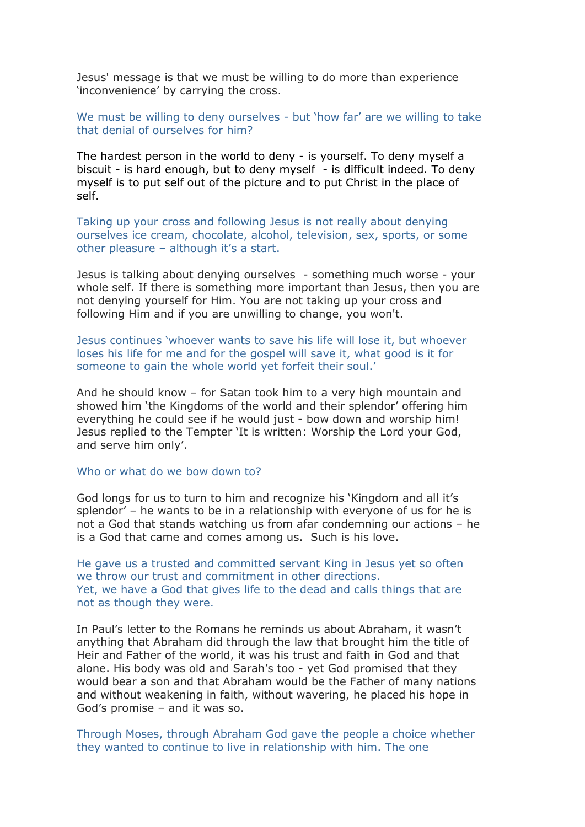Jesus' message is that we must be willing to do more than experience 'inconvenience' by carrying the cross.

We must be willing to deny ourselves - but 'how far' are we willing to take that denial of ourselves for him?

The hardest person in the world to deny - is yourself. To deny myself a biscuit - is hard enough, but to deny myself - is difficult indeed. To deny myself is to put self out of the picture and to put Christ in the place of self.

Taking up your cross and following Jesus is not really about denying ourselves ice cream, chocolate, alcohol, television, sex, sports, or some other pleasure – although it's a start.

Jesus is talking about denying ourselves - something much worse - your whole self. If there is something more important than Jesus, then you are not denying yourself for Him. You are not taking up your cross and following Him and if you are unwilling to change, you won't.

Jesus continues 'whoever wants to save his life will lose it, but whoever loses his life for me and for the gospel will save it, what good is it for someone to gain the whole world yet forfeit their soul.'

And he should know – for Satan took him to a very high mountain and showed him 'the Kingdoms of the world and their splendor' offering him everything he could see if he would just - bow down and worship him! Jesus replied to the Tempter 'It is written: Worship the Lord your God, and serve him only'.

Who or what do we bow down to?

God longs for us to turn to him and recognize his 'Kingdom and all it's splendor' – he wants to be in a relationship with everyone of us for he is not a God that stands watching us from afar condemning our actions – he is a God that came and comes among us. Such is his love.

He gave us a trusted and committed servant King in Jesus yet so often we throw our trust and commitment in other directions. Yet, we have a God that gives life to the dead and calls things that are not as though they were.

In Paul's letter to the Romans he reminds us about Abraham, it wasn't anything that Abraham did through the law that brought him the title of Heir and Father of the world, it was his trust and faith in God and that alone. His body was old and Sarah's too - yet God promised that they would bear a son and that Abraham would be the Father of many nations and without weakening in faith, without wavering, he placed his hope in God's promise – and it was so.

Through Moses, through Abraham God gave the people a choice whether they wanted to continue to live in relationship with him. The one